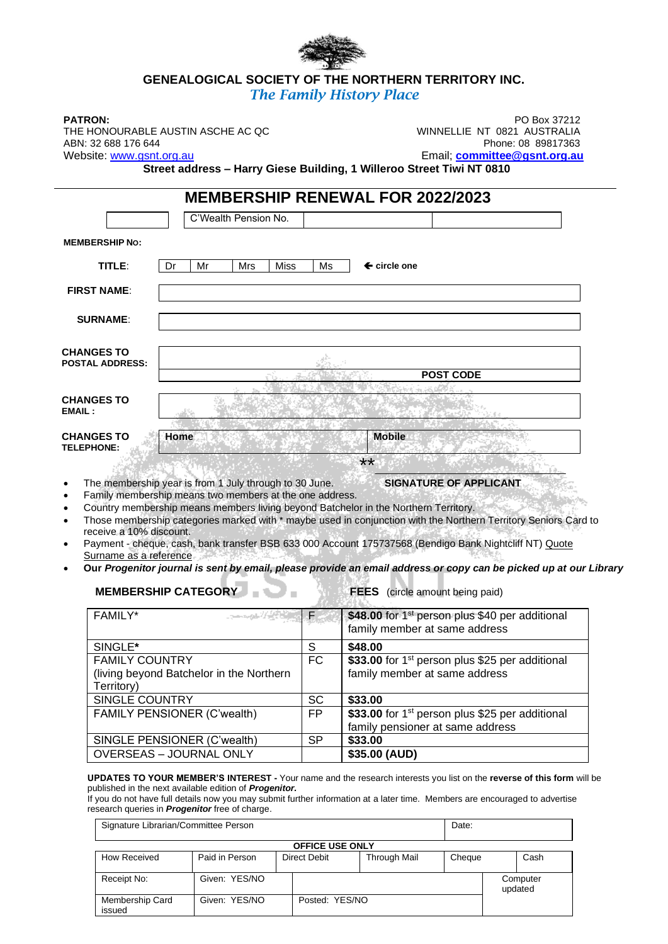# **GENEALOGICAL SOCIETY OF THE NORTHERN TERRITORY INC.** *The Family History Place*

THE HONOURABLE AUSTIN ASCHE AC QC<br>ABN: 32 688 176 644

**PATRON:** PO Box 37212<br>THE HONOURABLE AUSTIN ASCHE AC OC WINNELLIE NT 0821 AUSTRALIA Phone: 08 89817363 Website: [www.gsnt.org.au](http://www.gsnt.org.au/) entity and the state of the state of the Email; **[committee@gsnt.org.au](mailto:committee@gsnt.org.au)** 

**Street address – Harry Giese Building, 1 Willeroo Street Tiwi NT 0810**

## **MEMBERSHIP RENEWAL FOR 2022/2023 MEMBERSHIP NO: TITLE:** Dr Mr Mrs Miss Ms  $\leftarrow$  circle one  **FIRST NAME**: C'Wealth Pension No.

| <b>SURNAME:</b>                             |      |                  |
|---------------------------------------------|------|------------------|
| <b>CHANGES TO</b><br><b>POSTAL ADDRESS:</b> |      |                  |
|                                             |      | <b>POST CODE</b> |
|                                             |      |                  |
| <b>CHANGES TO</b><br><b>EMAIL:</b>          |      |                  |
|                                             |      |                  |
| <b>CHANGES TO</b><br><b>TELEPHONE:</b>      | Home | <b>Mobile</b>    |

• The membership year is from 1 July through to 30 June. **SIGNATURE OF APPLICANT**

- Family membership means two members at the one address.
- Country membership means members living beyond Batchelor in the Northern Territory.
- Those membership categories marked with \* maybe used in conjunction with the Northern Territory Seniors Card to receive a 10% discount.
- Payment cheque, cash, bank transfer BSB 633 000 Account 175737568 (Bendigo Bank Nightcliff NT) Quote Surname as a reference
- **Our** *Progenitor journal is sent by email, please provide an email address or copy can be picked up at our Library*

**MEMBERSHIP CATEGORY THE REES** (circle amount being paid)

 $*$   $*$   $\blacksquare$   $*$   $\blacksquare$   $*$   $\blacksquare$   $*$   $\blacksquare$   $*$   $\blacksquare$   $*$   $\blacksquare$   $*$   $\blacksquare$   $*$   $\blacksquare$   $*$   $\blacksquare$   $*$   $\blacksquare$   $*$   $\blacksquare$   $*$   $\blacksquare$   $*$   $\blacksquare$   $*$   $\blacksquare$   $*$   $\blacksquare$   $*$   $\blacksquare$   $*$   $\blacksquare$   $*$   $\blacksquare$   $*$   $\blacksquare$   $*$   $\blacks$ 

| FAMILY*<br><b>STANDARD AND ARTICLES</b>                                         |    | \$48.00 for 1 <sup>st</sup> person plus \$40 per additional<br>family member at same address    |  |  |
|---------------------------------------------------------------------------------|----|-------------------------------------------------------------------------------------------------|--|--|
| SINGLE*                                                                         | S  | \$48.00                                                                                         |  |  |
| <b>FAMILY COUNTRY</b><br>(living beyond Batchelor in the Northern<br>Territory) | FC | \$33.00 for 1 <sup>st</sup> person plus \$25 per additional<br>family member at same address    |  |  |
| SINGLE COUNTRY                                                                  | SC | \$33.00                                                                                         |  |  |
| FAMILY PENSIONER (C'wealth)                                                     | FP | \$33.00 for 1 <sup>st</sup> person plus \$25 per additional<br>family pensioner at same address |  |  |
| SINGLE PENSIONER (C'wealth)                                                     | SP | \$33.00                                                                                         |  |  |
| <b>OVERSEAS - JOURNAL ONLY</b>                                                  |    | \$35.00 (AUD)                                                                                   |  |  |

### **UPDATES TO YOUR MEMBER'S INTEREST -** Your name and the research interests you list on the **reverse of this form** will be published in the next available edition of *Progenitor.*

If you do not have full details now you may submit further information at a later time. Members are encouraged to advertise research queries in *Progenitor* free of charge.

| Signature Librarian/Committee Person |                |                              |  |        | Date:               |  |  |  |  |
|--------------------------------------|----------------|------------------------------|--|--------|---------------------|--|--|--|--|
| <b>OFFICE USE ONLY</b>               |                |                              |  |        |                     |  |  |  |  |
| How Received                         | Paid in Person | Direct Debit<br>Through Mail |  | Cheque | Cash                |  |  |  |  |
| Receipt No:                          | Given: YES/NO  |                              |  |        | Computer<br>updated |  |  |  |  |
| Membership Card<br>issued            | Given: YES/NO  | Posted: YES/NO               |  |        |                     |  |  |  |  |